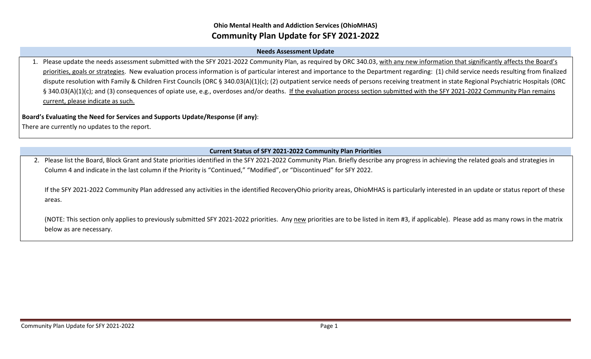## **Ohio Mental Health and Addiction Services (OhioMHAS) Community Plan Update for SFY 2021-2022**

#### **Needs Assessment Update**

1. Please update the needs assessment submitted with the SFY 2021-2022 Community Plan, as required by ORC 340.03, with any new information that significantly affects the Board's priorities, goals or strategies. New evaluation process information is of particular interest and importance to the Department regarding: (1) child service needs resulting from finalized dispute resolution with Family & Children First Councils (ORC § 340.03(A)(1)(c); (2) outpatient service needs of persons receiving treatment in state Regional Psychiatric Hospitals (ORC § 340.03(A)(1)(c); and (3) consequences of opiate use, e.g., overdoses and/or deaths. If the evaluation process section submitted with the SFY 2021-2022 Community Plan remains current, please indicate as such.

#### **Board's Evaluating the Need for Services and Supports Update/Response (if any)**:

There are currently no updates to the report.

## **Current Status of SFY 2021-2022 Community Plan Priorities**

2. Please list the Board, Block Grant and State priorities identified in the SFY 2021-2022 Community Plan. Briefly describe any progress in achieving the related goals and strategies in Column 4 and indicate in the last column if the Priority is "Continued," "Modified", or "Discontinued" for SFY 2022.

If the SFY 2021-2022 Community Plan addressed any activities in the identified RecoveryOhio priority areas, OhioMHAS is particularly interested in an update or status report of these areas.

(NOTE: This section only applies to previously submitted SFY 2021-2022 priorities. Any new priorities are to be listed in item #3, if applicable). Please add as many rows in the matrix below as are necessary.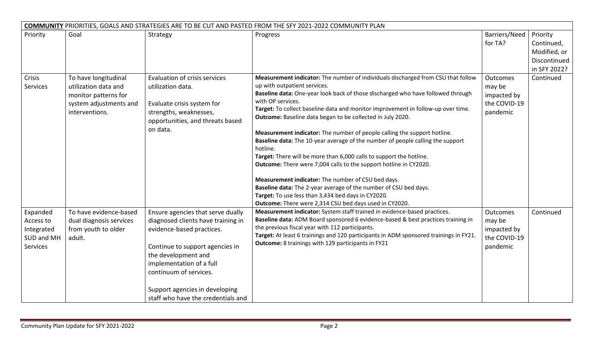|                                                               | <b>COMMUNITY PRIORITIES, GOALS AND STRATEGIES ARE TO BE CUT AND PASTED FROM THE SFY 2021-2022 COMMUNITY PLAN</b> |                                                                                                                                                                                                                                                                                              |                                                                                                                                                                                                                                                                                                                                                                                                                                                                                                                                                                                                                                                                                                                                                                                                                                                                                                                                            |                                                               |                                                                        |  |  |
|---------------------------------------------------------------|------------------------------------------------------------------------------------------------------------------|----------------------------------------------------------------------------------------------------------------------------------------------------------------------------------------------------------------------------------------------------------------------------------------------|--------------------------------------------------------------------------------------------------------------------------------------------------------------------------------------------------------------------------------------------------------------------------------------------------------------------------------------------------------------------------------------------------------------------------------------------------------------------------------------------------------------------------------------------------------------------------------------------------------------------------------------------------------------------------------------------------------------------------------------------------------------------------------------------------------------------------------------------------------------------------------------------------------------------------------------------|---------------------------------------------------------------|------------------------------------------------------------------------|--|--|
| Priority                                                      | Goal                                                                                                             | Strategy                                                                                                                                                                                                                                                                                     | Progress                                                                                                                                                                                                                                                                                                                                                                                                                                                                                                                                                                                                                                                                                                                                                                                                                                                                                                                                   | Barriers/Need<br>for TA?                                      | Priority<br>Continued,<br>Modified, or<br>Discontinued<br>in SFY 2022? |  |  |
| Crisis<br>Services                                            | To have longitudinal<br>utilization data and<br>monitor patterns for<br>system adjustments and<br>interventions. | Evaluation of crisis services<br>utilization data.<br>Evaluate crisis system for<br>strengths, weaknesses,<br>opportunities, and threats based<br>on data.                                                                                                                                   | Measurement indicator: The number of individuals discharged from CSU that follow<br>up with outpatient services.<br>Baseline data: One-year look back of those discharged who have followed through<br>with OP services.<br>Target: To collect baseline data and monitor improvement in follow-up over time.<br>Outcome: Baseline data began to be collected in July 2020.<br>Measurement indicator: The number of people calling the support hotline.<br>Baseline data: The 10-year average of the number of people calling the support<br>hotline.<br>Target: There will be more than 6,000 calls to support the hotline.<br>Outcome: There were 7,004 calls to the support hotline in CY2020.<br>Measurement indicator: The number of CSU bed days.<br>Baseline data: The 2-year average of the number of CSU bed days.<br>Target: To use less than 3,434 bed days in CY2020.<br>Outcome: There were 2,314 CSU bed days used in CY2020. | Outcomes<br>may be<br>impacted by<br>the COVID-19<br>pandemic | Continued                                                              |  |  |
| Expanded<br>Access to<br>Integrated<br>SUD and MH<br>Services | To have evidence-based<br>dual diagnosis services<br>from youth to older<br>adult.                               | Ensure agencies that serve dually<br>diagnosed clients have training in<br>evidence-based practices.<br>Continue to support agencies in<br>the development and<br>implementation of a full<br>continuum of services.<br>Support agencies in developing<br>staff who have the credentials and | Measurement indicator: System staff trained in evidence-based practices.<br>Baseline data: ADM Board sponsored 6 evidence-based & best practices training in<br>the previous fiscal year with 112 participants.<br>Target: At least 6 trainings and 120 participants in ADM sponsored trainings in FY21.<br>Outcome: 8 trainings with 129 participants in FY21                                                                                                                                                                                                                                                                                                                                                                                                                                                                                                                                                                             | Outcomes<br>may be<br>impacted by<br>the COVID-19<br>pandemic | Continued                                                              |  |  |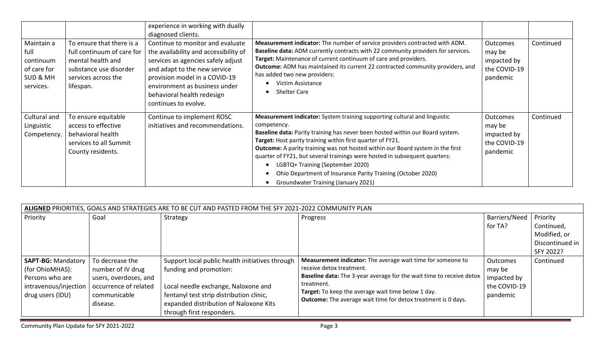| Maintain a<br>full<br>continuum<br>of care for<br><b>SUD &amp; MH</b><br>services. | To ensure that there is a<br>full continuum of care for<br>mental health and<br>substance use disorder<br>services across the<br>lifespan. | experience in working with dually<br>diagnosed clients.<br>Continue to monitor and evaluate<br>the availability and accessibility of<br>services as agencies safely adjust<br>and adapt to the new service<br>provision model in a COVID-19<br>environment as business under<br>behavioral health redesign<br>continues to evolve. | Measurement indicator: The number of service providers contracted with ADM.<br>Baseline data: ADM currently contracts with 22 community providers for services.<br>Target: Maintenance of current continuum of care and providers.<br>Outcome: ADM has maintained its current 22 contracted community providers, and<br>has added two new providers:<br>Victim Assistance<br><b>Shelter Care</b>                                                                                                                                                         | <b>Outcomes</b><br>may be<br>impacted by<br>the COVID-19<br>pandemic | Continued |
|------------------------------------------------------------------------------------|--------------------------------------------------------------------------------------------------------------------------------------------|------------------------------------------------------------------------------------------------------------------------------------------------------------------------------------------------------------------------------------------------------------------------------------------------------------------------------------|----------------------------------------------------------------------------------------------------------------------------------------------------------------------------------------------------------------------------------------------------------------------------------------------------------------------------------------------------------------------------------------------------------------------------------------------------------------------------------------------------------------------------------------------------------|----------------------------------------------------------------------|-----------|
| Cultural and<br>Linguistic<br>Competency.                                          | To ensure equitable<br>access to effective<br>behavioral health<br>services to all Summit<br>County residents.                             | Continue to implement ROSC<br>initiatives and recommendations.                                                                                                                                                                                                                                                                     | Measurement indicator: System training supporting cultural and linguistic<br>competency.<br>Baseline data: Parity training has never been hosted within our Board system.<br>Target: Host parity training within first quarter of FY21.<br>Outcome: A parity training was not hosted within our Board system in the first<br>quarter of FY21, but several trainings were hosted in subsequent quarters:<br>LGBTQ+ Training (September 2020)<br>Ohio Department of Insurance Parity Training (October 2020)<br><b>Groundwater Training (January 2021)</b> | <b>Outcomes</b><br>may be<br>impacted by<br>the COVID-19<br>pandemic | Continued |

| ALIGNED PRIORITIES, GOALS AND STRATEGIES ARE TO BE CUT AND PASTED FROM THE SFY 2021-2022 COMMUNITY PLAN |                       |                                                 |                                                                      |               |                 |  |  |
|---------------------------------------------------------------------------------------------------------|-----------------------|-------------------------------------------------|----------------------------------------------------------------------|---------------|-----------------|--|--|
| Priority                                                                                                | Goal                  | Strategy                                        | Progress                                                             | Barriers/Need | Priority        |  |  |
|                                                                                                         |                       |                                                 |                                                                      | for TA?       | Continued,      |  |  |
|                                                                                                         |                       |                                                 |                                                                      |               | Modified, or    |  |  |
|                                                                                                         |                       |                                                 |                                                                      |               | Discontinued in |  |  |
|                                                                                                         |                       |                                                 |                                                                      |               | SFY 2022?       |  |  |
| <b>SAPT-BG: Mandatory</b>                                                                               | To decrease the       | Support local public health initiatives through | Measurement indicator: The average wait time for someone to          | Outcomes      | Continued       |  |  |
| (for OhioMHAS):                                                                                         | number of IV drug     | funding and promotion:                          | receive detox treatment.                                             | may be        |                 |  |  |
| Persons who are                                                                                         | users, overdoses, and |                                                 | Baseline data: The 3-year average for the wait time to receive detox | impacted by   |                 |  |  |
| intravenous/injection                                                                                   | occurrence of related | Local needle exchange, Naloxone and             | treatment.<br>Target: To keep the average wait time below 1 day.     | the COVID-19  |                 |  |  |
| drug users (IDU)                                                                                        | communicable          | fentanyl test strip distribution clinic,        | <b>Outcome:</b> The average wait time for detox treatment is 0 days. | pandemic      |                 |  |  |
|                                                                                                         | disease.              | expanded distribution of Naloxone Kits          |                                                                      |               |                 |  |  |
|                                                                                                         |                       | through first responders.                       |                                                                      |               |                 |  |  |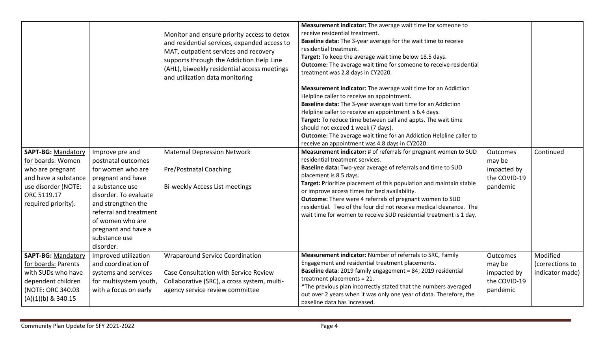| <b>SAPT-BG: Mandatory</b><br>for boards: Women<br>who are pregnant<br>and have a substance<br>use disorder (NOTE:<br>ORC 5119.17<br>required priority). | Improve pre and<br>postnatal outcomes<br>for women who are<br>pregnant and have<br>a substance use<br>disorder. To evaluate<br>and strengthen the<br>referral and treatment<br>of women who are<br>pregnant and have a<br>substance use | Monitor and ensure priority access to detox<br>and residential services, expanded access to<br>MAT, outpatient services and recovery<br>supports through the Addiction Help Line<br>(AHL), biweekly residential access meetings<br>and utilization data monitoring<br><b>Maternal Depression Network</b><br>Pre/Postnatal Coaching<br>Bi-weekly Access List meetings | Measurement indicator: The average wait time for someone to<br>receive residential treatment.<br>Baseline data: The 3-year average for the wait time to receive<br>residential treatment.<br>Target: To keep the average wait time below 18.5 days.<br>Outcome: The average wait time for someone to receive residential<br>treatment was 2.8 days in CY2020.<br>Measurement indicator: The average wait time for an Addiction<br>Helpline caller to receive an appointment.<br>Baseline data: The 3-year average wait time for an Addiction<br>Helpline caller to receive an appointment is 6.4 days.<br>Target: To reduce time between call and appts. The wait time<br>should not exceed 1 week (7 days).<br><b>Outcome:</b> The average wait time for an Addiction Helpline caller to<br>receive an appointment was 4.8 days in CY2020.<br>Measurement indicator: # of referrals for pregnant women to SUD<br>residential treatment services.<br>Baseline data: Two-year average of referrals and time to SUD<br>placement is 8.5 days.<br>Target: Prioritize placement of this population and maintain stable<br>or improve access times for bed availability.<br>Outcome: There were 4 referrals of pregnant women to SUD<br>residential. Two of the four did not receive medical clearance. The<br>wait time for women to receive SUD residential treatment is 1 day. | Outcomes<br>may be<br>impacted by<br>the COVID-19<br>pandemic | Continued                                      |
|---------------------------------------------------------------------------------------------------------------------------------------------------------|-----------------------------------------------------------------------------------------------------------------------------------------------------------------------------------------------------------------------------------------|----------------------------------------------------------------------------------------------------------------------------------------------------------------------------------------------------------------------------------------------------------------------------------------------------------------------------------------------------------------------|------------------------------------------------------------------------------------------------------------------------------------------------------------------------------------------------------------------------------------------------------------------------------------------------------------------------------------------------------------------------------------------------------------------------------------------------------------------------------------------------------------------------------------------------------------------------------------------------------------------------------------------------------------------------------------------------------------------------------------------------------------------------------------------------------------------------------------------------------------------------------------------------------------------------------------------------------------------------------------------------------------------------------------------------------------------------------------------------------------------------------------------------------------------------------------------------------------------------------------------------------------------------------------------------------------------------------------------------------------------------------|---------------------------------------------------------------|------------------------------------------------|
|                                                                                                                                                         | disorder.                                                                                                                                                                                                                               |                                                                                                                                                                                                                                                                                                                                                                      |                                                                                                                                                                                                                                                                                                                                                                                                                                                                                                                                                                                                                                                                                                                                                                                                                                                                                                                                                                                                                                                                                                                                                                                                                                                                                                                                                                              |                                                               |                                                |
| <b>SAPT-BG: Mandatory</b><br>for boards: Parents<br>with SUDs who have<br>dependent children<br>(NOTE: ORC 340.03<br>$(A)(1)(b)$ & 340.15               | Improved utilization<br>and coordination of<br>systems and services<br>for multisystem youth,<br>with a focus on early                                                                                                                  | <b>Wraparound Service Coordination</b><br>Case Consultation with Service Review<br>Collaborative (SRC), a cross system, multi-<br>agency service review committee                                                                                                                                                                                                    | Measurement indicator: Number of referrals to SRC, Family<br>Engagement and residential treatment placements.<br>Baseline data: 2019 family engagement = 84; 2019 residential<br>treatment placements = 21.<br>*The previous plan incorrectly stated that the numbers averaged<br>out over 2 years when it was only one year of data. Therefore, the<br>baseline data has increased.                                                                                                                                                                                                                                                                                                                                                                                                                                                                                                                                                                                                                                                                                                                                                                                                                                                                                                                                                                                         | Outcomes<br>may be<br>impacted by<br>the COVID-19<br>pandemic | Modified<br>(corrections to<br>indicator made) |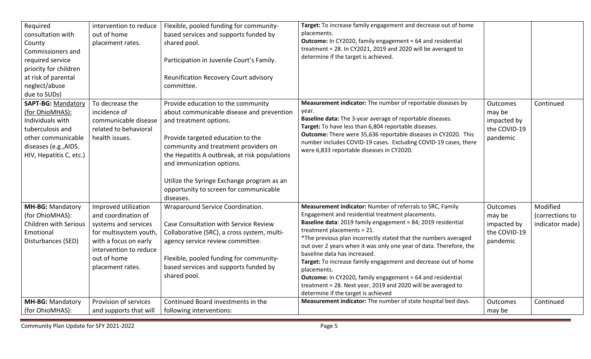| Required<br>consultation with<br>County<br>Commissioners and<br>required service<br>priority for children<br>at risk of parental<br>neglect/abuse<br>due to SUDs) | intervention to reduce<br>out of home<br>placement rates.                                                                                                                           | Flexible, pooled funding for community-<br>based services and supports funded by<br>shared pool.<br>Participation in Juvenile Court's Family.<br>Reunification Recovery Court advisory<br>committee.                                                                                                                                                                      | Target: To increase family engagement and decrease out of home<br>placements.<br>Outcome: In CY2020, family engagement = 64 and residential<br>treatment = 28. In CY2021, 2019 and 2020 will be averaged to<br>determine if the target is achieved.                                                                                                                                                                                                                                                                                                                                                                                               |                                                                      |                                                |
|-------------------------------------------------------------------------------------------------------------------------------------------------------------------|-------------------------------------------------------------------------------------------------------------------------------------------------------------------------------------|---------------------------------------------------------------------------------------------------------------------------------------------------------------------------------------------------------------------------------------------------------------------------------------------------------------------------------------------------------------------------|---------------------------------------------------------------------------------------------------------------------------------------------------------------------------------------------------------------------------------------------------------------------------------------------------------------------------------------------------------------------------------------------------------------------------------------------------------------------------------------------------------------------------------------------------------------------------------------------------------------------------------------------------|----------------------------------------------------------------------|------------------------------------------------|
| <b>SAPT-BG: Mandatory</b><br>(for OhioMHAS):<br>Individuals with<br>tuberculosis and<br>other communicable<br>diseases (e.g., AIDS.<br>HIV, Hepatitis C, etc.)    | To decrease the<br>incidence of<br>communicable disease<br>related to behavioral<br>health issues.                                                                                  | Provide education to the community<br>about communicable disease and prevention<br>and treatment options.<br>Provide targeted education to the<br>community and treatment providers on<br>the Hepatitis A outbreak, at risk populations<br>and immunization options.<br>Utilize the Syringe Exchange program as an<br>opportunity to screen for communicable<br>diseases. | Measurement indicator: The number of reportable diseases by<br>year.<br>Baseline data: The 3-year average of reportable diseases.<br>Target: To have less than 6,804 reportable diseases.<br>Outcome: There were 35,636 reportable diseases in CY2020. This<br>number includes COVID-19 cases. Excluding COVID-19 cases, there<br>were 6,833 reportable diseases in CY2020.                                                                                                                                                                                                                                                                       | <b>Outcomes</b><br>may be<br>impacted by<br>the COVID-19<br>pandemic | Continued                                      |
| <b>MH-BG: Mandatory</b><br>(for OhioMHAS):<br>Children with Serious<br>Emotional<br>Disturbances (SED)                                                            | Improved utilization<br>and coordination of<br>systems and services<br>for multisystem youth,<br>with a focus on early<br>intervention to reduce<br>out of home<br>placement rates. | Wraparound Service Coordination.<br>Case Consultation with Service Review<br>Collaborative (SRC), a cross system, multi-<br>agency service review committee.<br>Flexible, pooled funding for community-<br>based services and supports funded by<br>shared pool.                                                                                                          | Measurement indicator: Number of referrals to SRC, Family<br>Engagement and residential treatment placements.<br>Baseline data: 2019 family engagement = 84; 2019 residential<br>treatment placements = 21.<br>*The previous plan incorrectly stated that the numbers averaged<br>out over 2 years when it was only one year of data. Therefore, the<br>baseline data has increased.<br>Target: To increase family engagement and decrease out of home<br>placements.<br><b>Outcome:</b> In CY2020, family engagement = 64 and residential<br>treatment = 28. Next year, 2019 and 2020 will be averaged to<br>determine if the target is achieved | <b>Outcomes</b><br>may be<br>impacted by<br>the COVID-19<br>pandemic | Modified<br>(corrections to<br>indicator made) |
| MH-BG: Mandatory<br>(for OhioMHAS):                                                                                                                               | Provision of services<br>and supports that will                                                                                                                                     | Continued Board investments in the<br>following interventions:                                                                                                                                                                                                                                                                                                            | Measurement indicator: The number of state hospital bed days.                                                                                                                                                                                                                                                                                                                                                                                                                                                                                                                                                                                     | Outcomes<br>may be                                                   | Continued                                      |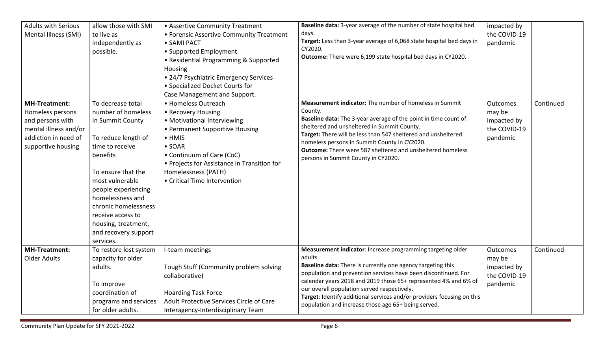| <b>Adults with Serious</b><br>Mental Illness (SMI)                                                                                  | allow those with SMI<br>to live as<br>independently as<br>possible.                                                                                                                                                                                                                                            | • Assertive Community Treatment<br>• Forensic Assertive Community Treatment<br>• SAMI PACT<br>• Supported Employment<br>• Residential Programming & Supported<br>Housing<br>• 24/7 Psychiatric Emergency Services<br>• Specialized Docket Courts for<br>Case Management and Support. | Baseline data: 3-year average of the number of state hospital bed<br>days.<br>Target: Less than 3-year average of 6,068 state hospital bed days in<br>CY2020.<br>Outcome: There were 6,199 state hospital bed days in CY2020.                                                                                                                                                                                                                              | impacted by<br>the COVID-19<br>pandemic                       |           |
|-------------------------------------------------------------------------------------------------------------------------------------|----------------------------------------------------------------------------------------------------------------------------------------------------------------------------------------------------------------------------------------------------------------------------------------------------------------|--------------------------------------------------------------------------------------------------------------------------------------------------------------------------------------------------------------------------------------------------------------------------------------|------------------------------------------------------------------------------------------------------------------------------------------------------------------------------------------------------------------------------------------------------------------------------------------------------------------------------------------------------------------------------------------------------------------------------------------------------------|---------------------------------------------------------------|-----------|
| <b>MH-Treatment:</b><br>Homeless persons<br>and persons with<br>mental illness and/or<br>addiction in need of<br>supportive housing | To decrease total<br>number of homeless<br>in Summit County<br>To reduce length of<br>time to receive<br>benefits<br>To ensure that the<br>most vulnerable<br>people experiencing<br>homelessness and<br>chronic homelessness<br>receive access to<br>housing, treatment,<br>and recovery support<br>services. | • Homeless Outreach<br>• Recovery Housing<br>• Motivational Interviewing<br>• Permanent Supportive Housing<br>$\bullet$ HMIS<br>$\bullet$ SOAR<br>• Continuum of Care (CoC)<br>• Projects for Assistance in Transition for<br>Homelessness (PATH)<br>• Critical Time Intervention    | Measurement indicator: The number of homeless in Summit<br>County.<br>Baseline data: The 3-year average of the point in time count of<br>sheltered and unsheltered in Summit County.<br>Target: There will be less than 547 sheltered and unsheltered<br>homeless persons in Summit County in CY2020.<br><b>Outcome:</b> There were 587 sheltered and unsheltered homeless<br>persons in Summit County in CY2020.                                          | Outcomes<br>may be<br>impacted by<br>the COVID-19<br>pandemic | Continued |
| <b>MH-Treatment:</b><br><b>Older Adults</b>                                                                                         | To restore lost system<br>capacity for older<br>adults.<br>To improve<br>coordination of<br>programs and services<br>for older adults.                                                                                                                                                                         | I-team meetings<br>Tough Stuff (Community problem solving<br>collaborative)<br><b>Hoarding Task Force</b><br>Adult Protective Services Circle of Care<br>Interagency-Interdisciplinary Team                                                                                          | Measurement indicator: Increase programming targeting older<br>adults.<br>Baseline data: There is currently one agency targeting this<br>population and prevention services have been discontinued. For<br>calendar years 2018 and 2019 those 65+ represented 4% and 6% of<br>our overall population served respectively.<br>Target: Identify additional services and/or providers focusing on this<br>population and increase those age 65+ being served. | Outcomes<br>may be<br>impacted by<br>the COVID-19<br>pandemic | Continued |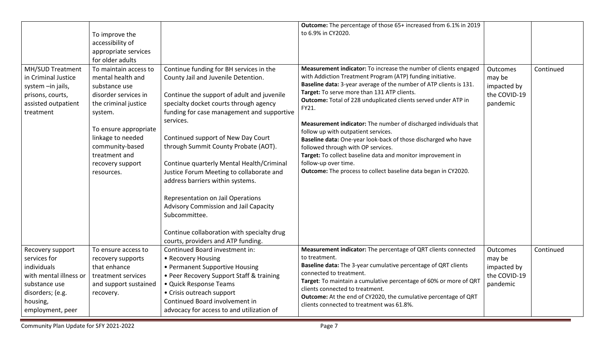|                                                                                                                                                | To improve the<br>accessibility of<br>appropriate services<br>for older adults                                                                                                                                                             |                                                                                                                                                                                                                                                                                                                                                                                                                                                                                                                                                                                                                                 | Outcome: The percentage of those 65+ increased from 6.1% in 2019<br>to 6.9% in CY2020.                                                                                                                                                                                                                                                                                                                                                                                                                                                                                                                                                                                                                     |                                                                      |           |
|------------------------------------------------------------------------------------------------------------------------------------------------|--------------------------------------------------------------------------------------------------------------------------------------------------------------------------------------------------------------------------------------------|---------------------------------------------------------------------------------------------------------------------------------------------------------------------------------------------------------------------------------------------------------------------------------------------------------------------------------------------------------------------------------------------------------------------------------------------------------------------------------------------------------------------------------------------------------------------------------------------------------------------------------|------------------------------------------------------------------------------------------------------------------------------------------------------------------------------------------------------------------------------------------------------------------------------------------------------------------------------------------------------------------------------------------------------------------------------------------------------------------------------------------------------------------------------------------------------------------------------------------------------------------------------------------------------------------------------------------------------------|----------------------------------------------------------------------|-----------|
| MH/SUD Treatment<br>in Criminal Justice<br>system -in jails,<br>prisons, courts,<br>assisted outpatient<br>treatment                           | To maintain access to<br>mental health and<br>substance use<br>disorder services in<br>the criminal justice<br>system.<br>To ensure appropriate<br>linkage to needed<br>community-based<br>treatment and<br>recovery support<br>resources. | Continue funding for BH services in the<br>County Jail and Juvenile Detention.<br>Continue the support of adult and juvenile<br>specialty docket courts through agency<br>funding for case management and supportive<br>services.<br>Continued support of New Day Court<br>through Summit County Probate (AOT).<br>Continue quarterly Mental Health/Criminal<br>Justice Forum Meeting to collaborate and<br>address barriers within systems.<br>Representation on Jail Operations<br>Advisory Commission and Jail Capacity<br>Subcommittee.<br>Continue collaboration with specialty drug<br>courts, providers and ATP funding. | Measurement indicator: To increase the number of clients engaged<br>with Addiction Treatment Program (ATP) funding initiative.<br>Baseline data: 3-year average of the number of ATP clients is 131.<br>Target: To serve more than 131 ATP clients.<br>Outcome: Total of 228 unduplicated clients served under ATP in<br>FY21.<br>Measurement indicator: The number of discharged individuals that<br>follow up with outpatient services.<br>Baseline data: One-year look-back of those discharged who have<br>followed through with OP services.<br>Target: To collect baseline data and monitor improvement in<br>follow-up over time.<br>Outcome: The process to collect baseline data began in CY2020. | Outcomes<br>may be<br>impacted by<br>the COVID-19<br>pandemic        | Continued |
| Recovery support<br>services for<br>individuals<br>with mental illness or<br>substance use<br>disorders; (e.g.<br>housing,<br>employment, peer | To ensure access to<br>recovery supports<br>that enhance<br>treatment services<br>and support sustained<br>recovery.                                                                                                                       | Continued Board investment in:<br>• Recovery Housing<br>• Permanent Supportive Housing<br>• Peer Recovery Support Staff & training<br>• Quick Response Teams<br>• Crisis outreach support<br>Continued Board involvement in<br>advocacy for access to and utilization of                                                                                                                                                                                                                                                                                                                                                        | Measurement indicator: The percentage of QRT clients connected<br>to treatment.<br>Baseline data: The 3-year cumulative percentage of QRT clients<br>connected to treatment.<br>Target: To maintain a cumulative percentage of 60% or more of QRT<br>clients connected to treatment.<br>Outcome: At the end of CY2020, the cumulative percentage of QRT<br>clients connected to treatment was 61.8%.                                                                                                                                                                                                                                                                                                       | <b>Outcomes</b><br>may be<br>impacted by<br>the COVID-19<br>pandemic | Continued |

Community Plan Update for SFY 2021-2022 **Page 7** Assembly 20 and 2011 12:30 Page 7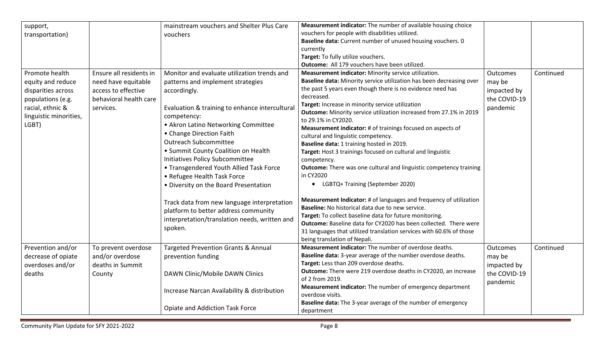| support,<br>transportation)                                                                                                           |                                                                                                              | mainstream vouchers and Shelter Plus Care<br>vouchers                                                                                                                                                                                                                                                                                                                                                                                                                                                                                                                                                                | Measurement indicator: The number of available housing choice<br>vouchers for people with disabilities utilized.<br>Baseline data: Current number of unused housing vouchers. 0<br>currently<br>Target: To fully utilize vouchers.<br>Outcome: All 179 vouchers have been utilized.                                                                                                                                                                                                                                                                                                                                                                                                                                                                                                                                                                                                                                                                                                                                                                                                        |                                                               |           |
|---------------------------------------------------------------------------------------------------------------------------------------|--------------------------------------------------------------------------------------------------------------|----------------------------------------------------------------------------------------------------------------------------------------------------------------------------------------------------------------------------------------------------------------------------------------------------------------------------------------------------------------------------------------------------------------------------------------------------------------------------------------------------------------------------------------------------------------------------------------------------------------------|--------------------------------------------------------------------------------------------------------------------------------------------------------------------------------------------------------------------------------------------------------------------------------------------------------------------------------------------------------------------------------------------------------------------------------------------------------------------------------------------------------------------------------------------------------------------------------------------------------------------------------------------------------------------------------------------------------------------------------------------------------------------------------------------------------------------------------------------------------------------------------------------------------------------------------------------------------------------------------------------------------------------------------------------------------------------------------------------|---------------------------------------------------------------|-----------|
| Promote health<br>equity and reduce<br>disparities across<br>populations (e.g.<br>racial, ethnic &<br>linguistic minorities,<br>LGBT) | Ensure all residents in<br>need have equitable<br>access to effective<br>behavioral health care<br>services. | Monitor and evaluate utilization trends and<br>patterns and implement strategies<br>accordingly.<br>Evaluation & training to enhance intercultural<br>competency:<br>• Akron Latino Networking Committee<br>• Change Direction Faith<br><b>Outreach Subcommittee</b><br>• Summit County Coalition on Health<br>Initiatives Policy Subcommittee<br>• Transgendered Youth Allied Task Force<br>• Refugee Health Task Force<br>• Diversity on the Board Presentation<br>Track data from new language interpretation<br>platform to better address community<br>interpretation/translation needs, written and<br>spoken. | Measurement indicator: Minority service utilization.<br>Baseline data: Minority service utilization has been decreasing over<br>the past 5 years even though there is no evidence need has<br>decreased.<br>Target: Increase in minority service utilization<br>Outcome: Minority service utilization increased from 27.1% in 2019<br>to 29.1% in CY2020.<br>Measurement indicator: # of trainings focused on aspects of<br>cultural and linguistic competency.<br>Baseline data: 1 training hosted in 2019.<br>Target: Host 3 trainings focused on cultural and linguistic<br>competency.<br><b>Outcome:</b> There was one cultural and linguistic competency training<br>in CY2020<br>• LGBTQ+ Training (September 2020)<br>Measurement Indicator: # of languages and frequency of utilization<br>Baseline: No historical data due to new service.<br>Target: To collect baseline data for future monitoring.<br>Outcome: Baseline data for CY2020 has been collected. There were<br>31 languages that utilized translation services with 60.6% of those<br>being translation of Nepali. | Outcomes<br>may be<br>impacted by<br>the COVID-19<br>pandemic | Continued |
| Prevention and/or<br>decrease of opiate<br>overdoses and/or<br>deaths                                                                 | To prevent overdose<br>and/or overdose<br>deaths in Summit<br>County                                         | <b>Targeted Prevention Grants &amp; Annual</b><br>prevention funding<br>DAWN Clinic/Mobile DAWN Clinics                                                                                                                                                                                                                                                                                                                                                                                                                                                                                                              | Measurement indicator: The number of overdose deaths.<br>Baseline data: 3-year average of the number overdose deaths.<br>Target: Less than 209 overdose deaths.<br>Outcome: There were 219 overdose deaths in CY2020, an increase<br>of 2 from 2019.                                                                                                                                                                                                                                                                                                                                                                                                                                                                                                                                                                                                                                                                                                                                                                                                                                       | Outcomes<br>may be<br>impacted by<br>the COVID-19<br>pandemic | Continued |
|                                                                                                                                       |                                                                                                              | Increase Narcan Availability & distribution<br>Opiate and Addiction Task Force                                                                                                                                                                                                                                                                                                                                                                                                                                                                                                                                       | Measurement indicator: The number of emergency department<br>overdose visits.<br>Baseline data: The 3-year average of the number of emergency<br>department                                                                                                                                                                                                                                                                                                                                                                                                                                                                                                                                                                                                                                                                                                                                                                                                                                                                                                                                |                                                               |           |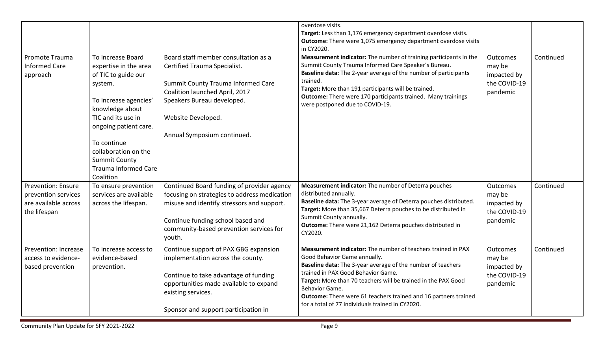|                                                                                          |                                                                                                                                                                                                                                                                                    |                                                                                                                                                                                                                                    | overdose visits.<br>Target: Less than 1,176 emergency department overdose visits.<br><b>Outcome:</b> There were 1,075 emergency department overdose visits<br>in CY2020.                                                                                                                                                                                                                                    |                                                                      |           |
|------------------------------------------------------------------------------------------|------------------------------------------------------------------------------------------------------------------------------------------------------------------------------------------------------------------------------------------------------------------------------------|------------------------------------------------------------------------------------------------------------------------------------------------------------------------------------------------------------------------------------|-------------------------------------------------------------------------------------------------------------------------------------------------------------------------------------------------------------------------------------------------------------------------------------------------------------------------------------------------------------------------------------------------------------|----------------------------------------------------------------------|-----------|
| Promote Trauma<br><b>Informed Care</b><br>approach                                       | To increase Board<br>expertise in the area<br>of TIC to guide our<br>system.<br>To increase agencies'<br>knowledge about<br>TIC and its use in<br>ongoing patient care.<br>To continue<br>collaboration on the<br><b>Summit County</b><br><b>Trauma Informed Care</b><br>Coalition | Board staff member consultation as a<br>Certified Trauma Specialist.<br>Summit County Trauma Informed Care<br>Coalition launched April, 2017<br>Speakers Bureau developed.<br>Website Developed.<br>Annual Symposium continued.    | Measurement indicator: The number of training participants in the<br>Summit County Trauma Informed Care Speaker's Bureau.<br>Baseline data: The 2-year average of the number of participants<br>trained.<br>Target: More than 191 participants will be trained.<br><b>Outcome:</b> There were 170 participants trained. Many trainings<br>were postponed due to COVID-19.                                   | Outcomes<br>may be<br>impacted by<br>the COVID-19<br>pandemic        | Continued |
| <b>Prevention: Ensure</b><br>prevention services<br>are available across<br>the lifespan | To ensure prevention<br>services are available<br>across the lifespan.                                                                                                                                                                                                             | Continued Board funding of provider agency<br>focusing on strategies to address medication<br>misuse and identify stressors and support.<br>Continue funding school based and<br>community-based prevention services for<br>youth. | Measurement indicator: The number of Deterra pouches<br>distributed annually.<br>Baseline data: The 3-year average of Deterra pouches distributed.<br>Target: More than 35,667 Deterra pouches to be distributed in<br>Summit County annually.<br>Outcome: There were 21,162 Deterra pouches distributed in<br>CY2020.                                                                                      | Outcomes<br>may be<br>impacted by<br>the COVID-19<br>pandemic        | Continued |
| Prevention: Increase<br>access to evidence-<br>based prevention                          | To increase access to<br>evidence-based<br>prevention.                                                                                                                                                                                                                             | Continue support of PAX GBG expansion<br>implementation across the county.<br>Continue to take advantage of funding<br>opportunities made available to expand<br>existing services.<br>Sponsor and support participation in        | Measurement indicator: The number of teachers trained in PAX<br>Good Behavior Game annually.<br>Baseline data: The 3-year average of the number of teachers<br>trained in PAX Good Behavior Game.<br>Target: More than 70 teachers will be trained in the PAX Good<br>Behavior Game.<br>Outcome: There were 61 teachers trained and 16 partners trained<br>for a total of 77 individuals trained in CY2020. | <b>Outcomes</b><br>may be<br>impacted by<br>the COVID-19<br>pandemic | Continued |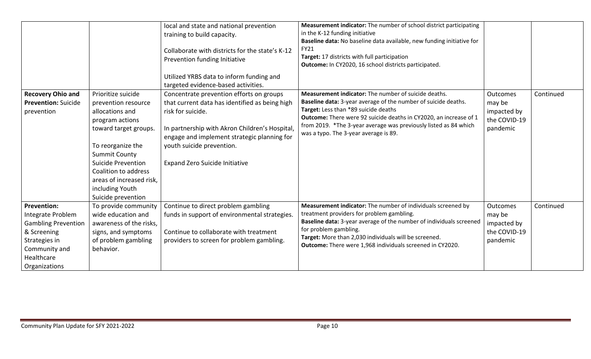|                                                                                                                                                       |                                                                                                                                                                                                                                                                          | local and state and national prevention<br>training to build capacity.<br>Collaborate with districts for the state's K-12<br>Prevention funding Initiative<br>Utilized YRBS data to inform funding and<br>targeted evidence-based activities.                                          | Measurement indicator: The number of school district participating<br>in the K-12 funding initiative<br>Baseline data: No baseline data available, new funding initiative for<br><b>FY21</b><br>Target: 17 districts with full participation<br>Outcome: In CY2020, 16 school districts participated.                                            |                                                               |           |
|-------------------------------------------------------------------------------------------------------------------------------------------------------|--------------------------------------------------------------------------------------------------------------------------------------------------------------------------------------------------------------------------------------------------------------------------|----------------------------------------------------------------------------------------------------------------------------------------------------------------------------------------------------------------------------------------------------------------------------------------|--------------------------------------------------------------------------------------------------------------------------------------------------------------------------------------------------------------------------------------------------------------------------------------------------------------------------------------------------|---------------------------------------------------------------|-----------|
| <b>Recovery Ohio and</b><br><b>Prevention: Suicide</b><br>prevention                                                                                  | Prioritize suicide<br>prevention resource<br>allocations and<br>program actions<br>toward target groups.<br>To reorganize the<br><b>Summit County</b><br>Suicide Prevention<br>Coalition to address<br>areas of increased risk,<br>including Youth<br>Suicide prevention | Concentrate prevention efforts on groups<br>that current data has identified as being high<br>risk for suicide.<br>In partnership with Akron Children's Hospital,<br>engage and implement strategic planning for<br>youth suicide prevention.<br><b>Expand Zero Suicide Initiative</b> | Measurement indicator: The number of suicide deaths.<br>Baseline data: 3-year average of the number of suicide deaths.<br>Target: Less than *89 suicide deaths<br>Outcome: There were 92 suicide deaths in CY2020, an increase of 1<br>from 2019. *The 3-year average was previously listed as 84 which<br>was a typo. The 3-year average is 89. | Outcomes<br>may be<br>impacted by<br>the COVID-19<br>pandemic | Continued |
| <b>Prevention:</b><br>Integrate Problem<br><b>Gambling Prevention</b><br>& Screening<br>Strategies in<br>Community and<br>Healthcare<br>Organizations | To provide community<br>wide education and<br>awareness of the risks,<br>signs, and symptoms<br>of problem gambling<br>behavior.                                                                                                                                         | Continue to direct problem gambling<br>funds in support of environmental strategies.<br>Continue to collaborate with treatment<br>providers to screen for problem gambling.                                                                                                            | Measurement indicator: The number of individuals screened by<br>treatment providers for problem gambling.<br>Baseline data: 3-year average of the number of individuals screened<br>for problem gambling.<br>Target: More than 2,030 individuals will be screened.<br><b>Outcome:</b> There were 1,968 individuals screened in CY2020.           | Outcomes<br>may be<br>impacted by<br>the COVID-19<br>pandemic | Continued |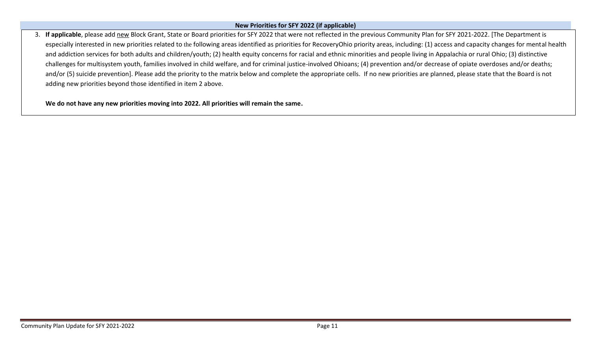#### **New Priorities for SFY 2022 (if applicable)**

3. **If applicable**, please add new Block Grant, State or Board priorities for SFY 2022 that were not reflected in the previous Community Plan for SFY 2021-2022. [The Department is especially interested in new priorities related to the following areas identified as priorities for RecoveryOhio priority areas, including: (1) access and capacity changes for mental health and addiction services for both adults and children/youth; (2) health equity concerns for racial and ethnic minorities and people living in Appalachia or rural Ohio; (3) distinctive challenges for multisystem youth, families involved in child welfare, and for criminal justice-involved Ohioans; (4) prevention and/or decrease of opiate overdoses and/or deaths; and/or (5) suicide prevention]. Please add the priority to the matrix below and complete the appropriate cells. If no new priorities are planned, please state that the Board is not adding new priorities beyond those identified in item 2 above.

**We do not have any new priorities moving into 2022. All priorities will remain the same.**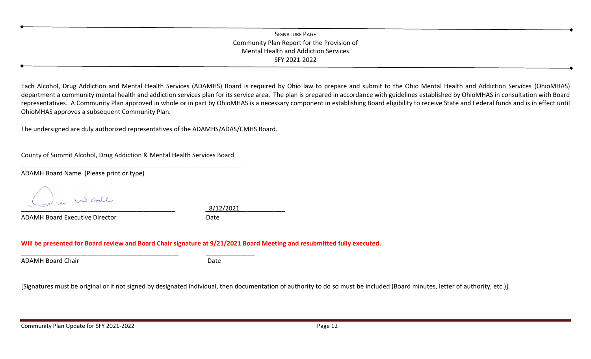## SIGNATURE PAGE Community Plan Report for the Provision of Mental Health and Addiction Services SFY 2021-2022

Each Alcohol, Drug Addiction and Mental Health Services (ADAMHS) Board is required by Ohio law to prepare and submit to the Ohio Mental Health and Addiction Services (OhioMHAS) department a community mental health and addiction services plan for its service area. The plan is prepared in accordance with guidelines established by OhioMHAS in consultation with Board representatives. A Community Plan approved in whole or in part by OhioMHAS is a necessary component in establishing Board eligibility to receive State and Federal funds and is in effect until OhioMHAS approves a subsequent Community Plan.

The undersigned are duly authorized representatives of the ADAMHS/ADAS/CMHS Board.

County of Summit Alcohol, Drug Addiction & Mental Health Services Board \_\_\_\_\_\_\_\_\_\_\_\_\_\_\_\_\_\_\_\_\_\_\_\_\_\_\_\_\_\_\_\_\_\_\_\_\_\_\_\_\_\_\_\_\_\_\_\_\_\_\_\_\_\_\_\_\_\_\_\_\_\_\_

\_\_\_\_\_\_\_\_\_\_\_\_\_\_\_\_\_\_\_\_\_\_\_\_\_\_\_\_\_\_\_\_\_\_\_\_\_\_\_\_\_\_\_\_\_ \_\_\_\_\_\_\_\_\_\_\_\_\_\_

ADAMH Board Name (Please print or type)

N call \_\_\_\_\_\_\_\_\_\_\_\_\_\_\_\_\_\_\_\_\_\_\_\_\_\_\_\_\_\_\_\_\_\_\_\_\_\_\_\_\_\_\_\_ \_8/12/2021\_\_\_\_\_\_\_\_\_\_\_\_\_

ADAMH Board Executive Director **Date** Date

**Will be presented for Board review and Board Chair signature at 9/21/2021 Board Meeting and resubmitted fully executed.**

ADAMH Board Chair **Date** Date **Date** 

[Signatures must be original or if not signed by designated individual, then documentation of authority to do so must be included (Board minutes, letter of authority, etc.)].